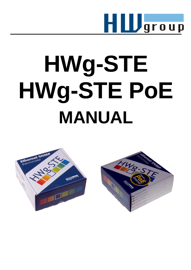

# **HWg-STE HWg-STE PoE MANUAL**



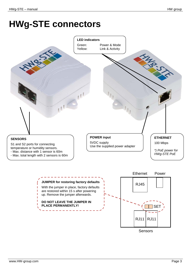# **HWg-STE connectors**



With the jumper in place, factory defaults are restored within 15 s after powering up. Remove the jumper afterwards. **DO NOT LEAVE THE JUMPER IN PLACE PERMANENTLY!** Sensors SET RJ11 RJ11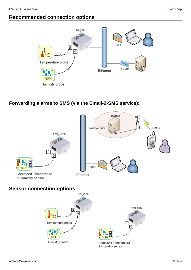# **Recommended connection options**



#### **Forwarding alarms to SMS (via the Email-2-SMS service):**



# **Sensor connection options:**

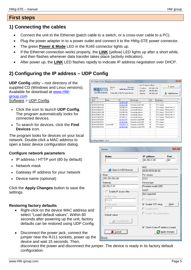#### **First steps**

# **1) Connecting the cables**

- Connect the unit to the Ethernet (patch cable to a switch, or a cross-over cable to a PC).
- Plug the power adapter in to a power outlet and connect it to the HWg-STE power connector.
- The green **Power & Mode** LED in the RJ45 connector lights up.
- If the Ethernet connection works properly, the **LINK** (yellow) LED lights up after a short while, and then flashes whenever data transfer takes place (activity indication).
- After power up, the **LINK** LED flashes rapidly to indicate IP address negotiation over DHCP.

# **2) Configuring the IP address – UDP Config**

**UDP Config** utility – root directory of the supplied CD (Windows and Linux versions). Available for download at [www.HW](http://www.hw-group.com/)[group.com](http://www.hw-group.com/) Software > UDP Config.

- Click the icon to launch **UDP Config**. The program automatically looks for connected devices.
- To search for devices, click the **Find Devices** icon.

The program looks for devices on your local network. Double-click a MAC address to open a basic device configuration dialog.

#### **Configure network parameters**

- IP address / HTTP port (80 by default)
- Network mask
- Gateway IP address for your network
- Device name (optional)

Click the **Apply Changes** button to save the settings.

#### **Restoring factory defaults**

- Right-click on the device MAC address and select "Load default values". Within 60 seconds after powering up the unit, factory defaults can be restored using UDP Config.
- Disconnect the power jack, connect the jumper near the RJ11 sockets, power up the device and wait 15 seconds. Then,

disconnect the power and disconnect the jumper. The device is ready in its factory default configuration.

| $H\mathbf{L}$ group<br>www.HW-group.com | Version:<br>2.2.1 | www.hw-group.com<br>Setup utility for the HW group devices | HW group<br>IP address:<br>Netmask:<br>Gateway: | Your PC network settings<br>192 168 1 214<br>255.255.255.0<br>192.168.1.253 | ? About<br><b>Find Devices</b> |
|-----------------------------------------|-------------------|------------------------------------------------------------|-------------------------------------------------|-----------------------------------------------------------------------------|--------------------------------|
| Device list:                            |                   |                                                            |                                                 |                                                                             |                                |
| MAC                                     | Name              | IP                                                         | Device type                                     | Port                                                                        | Parameters                     |
| 00:04:59:01:E0:30                       |                   | 80.250.21.88                                               | IP Watchdog lite                                | 99                                                                          | TCP setup=Y                    |
| 00:0A:59:03:0D:0A                       |                   | 80.250.21.85                                               | Poseidon model 3265                             | 80                                                                          | TCP setup=Y                    |
| 00:04:59:00:AA:E2                       |                   | 192.168.1.61                                               | Unspecified device                              | 23                                                                          | TCP setup=Y, TEA=N, NVT=Y      |
| 00:04:59:00:AA:E3                       |                   | 192 168 1 62                                               | Unspecified device                              | 23                                                                          | TCP setup=Y. TEA=N. NVT=Y      |
| 00:0A:59:00:AC:48                       |                   | 192.168.1.65                                               | Unspecified device                              | 23                                                                          | TCP setup=Y, TEA=N, NVT=Y      |
| 00:04:59:00:AC:49                       |                   | 192.168.1.64                                               | Unspecified device                              | 23                                                                          | TCP setup=Y, TEA=N, NVT=Y      |
| 00:04:59:00:A8:FB                       |                   | 19216812                                                   | Unspecified device                              | 23                                                                          | TCP setup=Y. TEA=N. NVT=Y      |
| 00:0A:59:03:0E:AF                       |                   | 80.250.21.87                                               | Damocles model MINI                             | 80                                                                          | TCP setup=N                    |
| 00:04:59:03:0C:2C                       |                   | 80.250.21.84                                               | Poseidon model 1250                             | 80                                                                          | TCP setup=Y                    |
| 00:04:59:03:10:04                       | Jan test 485      | 192.168.1.148                                              | Poseidon model 1250                             | 80                                                                          | TCP setup=Y                    |
| 00:0A:59:03:0C:4B                       |                   | 80.250.21.86                                               | Damocles model 2404                             | 80                                                                          | TCP setup=Y                    |
|                                         |                   |                                                            |                                                 |                                                                             |                                |
|                                         |                   |                                                            |                                                 |                                                                             |                                |
|                                         |                   |                                                            |                                                 |                                                                             |                                |

| <b>Details</b>                 | x                                                        |
|--------------------------------|----------------------------------------------------------|
| Name:                          | IP address:<br>Port <sup>-</sup><br>80.250.21.85<br>: 80 |
| Open in WEB Browser            | MAC:<br>00:0A:59:03:0D:0A                                |
| Mask:<br>255.255.255.240       | FW version:<br>3.0.2                                     |
| Gateway:<br>80.250.21.81       | Device type:<br>Poseidon model 3265                      |
| $\Box$ Enable IP access filter | DHCP:                                                    |
| IP filter value:<br> 0.0.0.0   | Not supported<br>$\Box$ Enable NVT                       |
| IP filter mask:<br> 0.0.0.0    | Open<br><b>▽</b> Enable TCP setup                        |
| Default values                 | $\Box$ Enable DHCP<br>Enable TEA authorisation           |
| Load defaults                  |                                                          |
|                                | $\overline{\vee}$ Check if new IP address is empty       |
| Cancel                         | <b>E</b> Apply changes                                   |
| Ready                          |                                                          |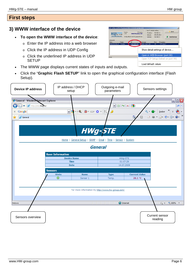# **First steps**

# **3) WWW interface of the device**

#### • **To open the WWW interface of the device**:

- $\circ$  Enter the IP address into a web browser
- o Click the IP address in UDP Config
- o Click the underlined IP address in UDP **SETUP**
- The WWW page displays current states of inputs and outputs.
- Click the "**[Graphic Flash SETUP](http://192.168.6.19/index2.htm)**" link to open the graphical configuration interface (Flash Setup).



| Version:<br>$H\mathbf{U}$ group<br>230 |      | HW group<br>www.hw-group.com            |            | Your PC network settings<br>192.168.5.2<br>IP address: |                                 | ? About    |                                    |
|----------------------------------------|------|-----------------------------------------|------------|--------------------------------------------------------|---------------------------------|------------|------------------------------------|
| www.HUI-group.com                      |      | Config utility for the HW group devices |            | Netwark:<br>Gateway.                                   | 255, 255, 255, 0<br>132,168.5.1 |            | <b>Eind Devices</b>                |
| Jevice list                            |      |                                         |            |                                                        |                                 |            |                                    |
| MAC                                    | Name | IP                                      | evice type |                                                        | Port                            | Parameters |                                    |
|                                        |      |                                         |            |                                                        |                                 |            |                                    |
|                                        |      |                                         |            | Show detail settings of device                         |                                 |            |                                    |
|                                        |      |                                         |            | Open in WEB Browser (port 80)                          |                                 |            |                                    |
| ody                                    |      |                                         |            |                                                        |                                 |            | Open TCP Setup (telnet on port 99) |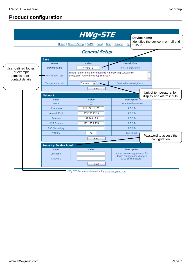|                                                    |                                  | <b>HWg-STE</b>                                                                                    | Device name                                                 |                                                      |
|----------------------------------------------------|----------------------------------|---------------------------------------------------------------------------------------------------|-------------------------------------------------------------|------------------------------------------------------|
|                                                    |                                  | Home   General Setup   SNMP   Email   Time   Sensors   Sys                                        | <b>SNMP</b>                                                 | Identifies the device in e-mail and                  |
|                                                    |                                  | <b>General Setup</b>                                                                              |                                                             |                                                      |
|                                                    | <b>Base</b>                      |                                                                                                   |                                                             |                                                      |
|                                                    | <b>Name</b>                      | Value                                                                                             | <b>Description</b>                                          |                                                      |
| User-defined footer.                               | <b>Device Name</b>               | HWg-STE                                                                                           | 0 to 16 characters                                          |                                                      |
| For example,<br>administrator's<br>contact details | WWW Info Text                    | HWg-STE:For more information try <a href="http://www.hw-&lt;br&gt;qroup.com">www.hw-group.com</a> |                                                             |                                                      |
|                                                    | Temperature unit                 | Celsius<br>٧                                                                                      | Celsius/Fahrenheit/Kelvin                                   |                                                      |
|                                                    |                                  | Save                                                                                              |                                                             |                                                      |
|                                                    | <b>Network</b>                   |                                                                                                   |                                                             | Unit of temperature, for<br>display and alarm inputs |
|                                                    | <b>Name</b>                      | <b>Value</b>                                                                                      | <b>Description</b>                                          |                                                      |
|                                                    | <b>DHCP</b><br><b>IP Address</b> | П                                                                                                 | <b>DHCP Enable/Disable</b>                                  |                                                      |
|                                                    |                                  | 192.168.12.103                                                                                    | A.B.C.D                                                     |                                                      |
|                                                    | Network Mask                     | 255.255.252.0                                                                                     | A.B.C.D                                                     |                                                      |
|                                                    | Gateway                          | 192.168.12.1                                                                                      | A.B.C.D                                                     |                                                      |
|                                                    | <b>DNS Primary</b>               | 192.168.1.253                                                                                     | A.B.C.D                                                     |                                                      |
|                                                    | <b>DNS Secondary</b>             |                                                                                                   | A.B.C.D                                                     |                                                      |
|                                                    | <b>HTTP Port</b>                 | 80                                                                                                | Default 80                                                  | Password to access the                               |
|                                                    |                                  | Save                                                                                              |                                                             | configuration                                        |
|                                                    | <b>Security: Device Admin</b>    |                                                                                                   |                                                             |                                                      |
|                                                    | <b>Name</b>                      | <b>Value</b>                                                                                      | <b>Description</b>                                          |                                                      |
|                                                    | Username                         |                                                                                                   | Admin username/password for<br>device configuration changes |                                                      |
|                                                    | Password                         |                                                                                                   | [0 to 16 characters]                                        |                                                      |
|                                                    |                                  | Save                                                                                              |                                                             |                                                      |

HWg-STE:For more information try www.hw-group.com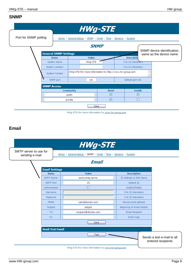# **SNMP**



HWg-STE: For more information try www.hw-group.com

#### **Email**

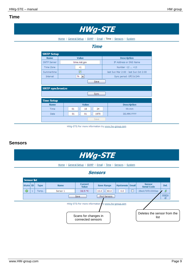#### **Time**



Home | General Setup | SNMP | Email | Time | Sensors | System

#### **Time**

| <b>Name</b>             | Value                          | <b>Description</b>                    |
|-------------------------|--------------------------------|---------------------------------------|
| <b>SNTP Server</b>      | time.nist.gov                  | IP Address or DNS Name                |
| Time Zone               | $+1$                           | Number -12  +13                       |
| Summertime              | ☑                              | last Sun Mar 2:00 - last Sun Oct 2:00 |
| Interval                | 1 <sub>h</sub><br>$\checkmark$ | Sync period: Off/1h/24h               |
|                         | Save                           |                                       |
| <b>SNTP synchronize</b> | <b>Sync</b>                    |                                       |
| <b>Time Setup</b>       |                                |                                       |
| <b>Name</b>             | <b>Value</b>                   | <b>Description</b>                    |
| Time                    | 01<br>24<br>18<br>÷<br>÷       | hh:mm                                 |

HWg-STE:For more information try www.hw-group.com

#### **Sensors**

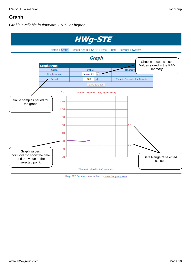# **Graph**

*Graf is available in firmware 1.0.12 or higher*



HWg-STE:For more information try www.hw-group.com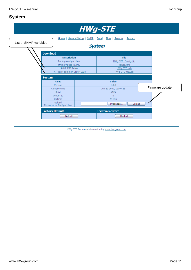# **System**

|                                  |                                                                                                                      |  | <b>HWg-STE</b>                                                                    |                 |  |
|----------------------------------|----------------------------------------------------------------------------------------------------------------------|--|-----------------------------------------------------------------------------------|-----------------|--|
| List of SNMP variables           | Home   General Setup   SNMP   Email   Time   Sensors   System<br><b>System</b>                                       |  |                                                                                   |                 |  |
| <b>Download</b><br><b>System</b> | <b>Description</b><br>Backup configuration<br>Online values in XML<br>SNMP MIB Table<br>TXT list of common SNMP OIDs |  | <b>File</b><br>HWg-STE Config.bin<br>values.xml<br>HWq-STE.mib<br>HWq-STE OID.txt |                 |  |
|                                  | <b>Name</b><br>Version<br>Compile time                                                                               |  | Value<br>1.0.0<br>Jun 22 2009, 12:40:28                                           | Firmware update |  |
|                                  | <b>Build</b><br>Vendor ID<br>UpTime<br>Upload<br>Firmware or Configuration                                           |  | 6475<br>$\overline{0}$<br>23 min<br>Procházet.<br>Upload                          |                 |  |
|                                  | <b>Factory Default</b><br><b>Default</b>                                                                             |  | <b>System Restart</b><br><b>Restart</b>                                           |                 |  |

HWg-STE:For more information try www.hw-group.com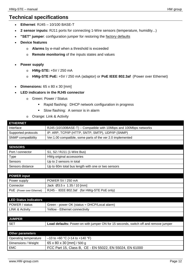# **Technical specifications**

- **Ethernet**: RJ45 10/100 BASE-T
- **2 sensor inputs:** RJ11 ports for connecting 1-Wire sensors (temperature, humidity...)
- "SET" jumper: configuration jumper for restoring the factory defaults
- **Device features**
	- o **Alarms** by e-mail when a threshold is exceeded
	- o **Remote monitoring** of the inputs states and values
- **Power supply**
	- o **HWg-STE:** +5V / 250 mA
	- o **HWg-STE PoE:** +5V / 250 mA (adaptor) or **PoE IEEE 802.3af** (Power over Ethernet)
- **Dimensions:** 65 x 80 x 30 [mm]
- **LED indicators in the RJ45 connector**
	- o Green: Power / Status
		- Rapid flashing: DHCP network configuration in progress
		- **Slow flashing:** A sensor is in alarm
	- o Orange: Link & Activity

| <b>ETHERNET</b>              |                                                                                     |
|------------------------------|-------------------------------------------------------------------------------------|
| Interface                    | RJ45 (10/100BASE-T) - Compatible with 10Mbps and 100Mbps networks                   |
| Supported protocols          | IP: ARP, TCP/IP (HTTP, SNTP, SMTP), UDP/IP (SNMP)                                   |
| SNMP compatibility           | Ver:1.00 compatible, some parts of the ver 2.0 implemented                          |
|                              |                                                                                     |
| <b>SENSORS</b>               |                                                                                     |
| Port / connector             | S1, S2 / RJ11 (1-Wire Bus)                                                          |
| <b>Type</b>                  | HWg original accessories                                                            |
| Sensors                      | Up to 2 sensors in total                                                            |
| Sensors distance             | Up to 60m total bus length with one or two sensors                                  |
|                              |                                                                                     |
| <b>POWER input</b>           |                                                                                     |
| Power supply                 | POWER 5V / 250 mA                                                                   |
| Connector                    | Jack Ø3.5 x 1.35 / 10 [mm]                                                          |
| POE (Power over Ethernet)    | RJ45 - IEEE 802.3af (for HWg-STE PoE only)                                          |
|                              |                                                                                     |
| <b>LED Status indicators</b> |                                                                                     |
| POWER / status               | Green - power OK (status = DHCP/Local alarm)                                        |
| <b>LINK &amp; Activity</b>   | Yellow - Ethernet connectivity                                                      |
|                              |                                                                                     |
| <b>JUMPER</b>                |                                                                                     |
| <b>SET</b>                   | Load defaults: Power-on with jumper ON for 15 seconds, switch off and remove jumper |
|                              |                                                                                     |
| <b>Other parameters</b>      |                                                                                     |
| Operating temperature        | $-10$ to +60 °C (+14 to +140 °F)                                                    |
| Dimensions / Weight          | 65 x 80 x 30 [mm] / 500 g                                                           |
| <b>EMC</b>                   | FCC Part 15, Class B, CE - EN 55022, EN 55024, EN 61000                             |